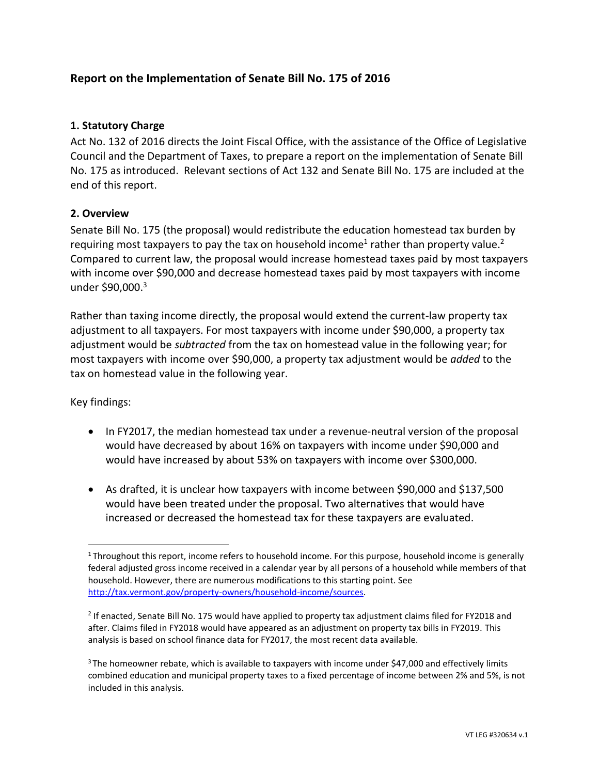# **Report on the Implementation of Senate Bill No. 175 of 2016**

# **1. Statutory Charge**

Act No. 132 of 2016 directs the Joint Fiscal Office, with the assistance of the Office of Legislative Council and the Department of Taxes, to prepare a report on the implementation of Senate Bill No. 175 as introduced. Relevant sections of Act 132 and Senate Bill No. 175 are included at the end of this report.

# **2. Overview**

Senate Bill No. 175 (the proposal) would redistribute the education homestead tax burden by requiring most taxpayers to pay the tax on household income<sup>1</sup> rather than property value.<sup>2</sup> Compared to current law, the proposal would increase homestead taxes paid by most taxpayers with income over \$90,000 and decrease homestead taxes paid by most taxpayers with income under \$90,000. 3

Rather than taxing income directly, the proposal would extend the current-law property tax adjustment to all taxpayers. For most taxpayers with income under \$90,000, a property tax adjustment would be *subtracted* from the tax on homestead value in the following year; for most taxpayers with income over \$90,000, a property tax adjustment would be *added* to the tax on homestead value in the following year.

Key findings:

 $\overline{a}$ 

- In FY2017, the median homestead tax under a revenue-neutral version of the proposal would have decreased by about 16% on taxpayers with income under \$90,000 and would have increased by about 53% on taxpayers with income over \$300,000.
- As drafted, it is unclear how taxpayers with income between \$90,000 and \$137,500 would have been treated under the proposal. Two alternatives that would have increased or decreased the homestead tax for these taxpayers are evaluated.

 $1$ Throughout this report, income refers to household income. For this purpose, household income is generally federal adjusted gross income received in a calendar year by all persons of a household while members of that household. However, there are numerous modifications to this starting point. See [http://tax.vermont.gov/property-owners/household-income/sources.](http://tax.vermont.gov/property-owners/household-income/sources)

<sup>&</sup>lt;sup>2</sup> If enacted, Senate Bill No. 175 would have applied to property tax adjustment claims filed for FY2018 and after. Claims filed in FY2018 would have appeared as an adjustment on property tax bills in FY2019. This analysis is based on school finance data for FY2017, the most recent data available.

<sup>&</sup>lt;sup>3</sup> The homeowner rebate, which is available to taxpayers with income under \$47,000 and effectively limits combined education and municipal property taxes to a fixed percentage of income between 2% and 5%, is not included in this analysis.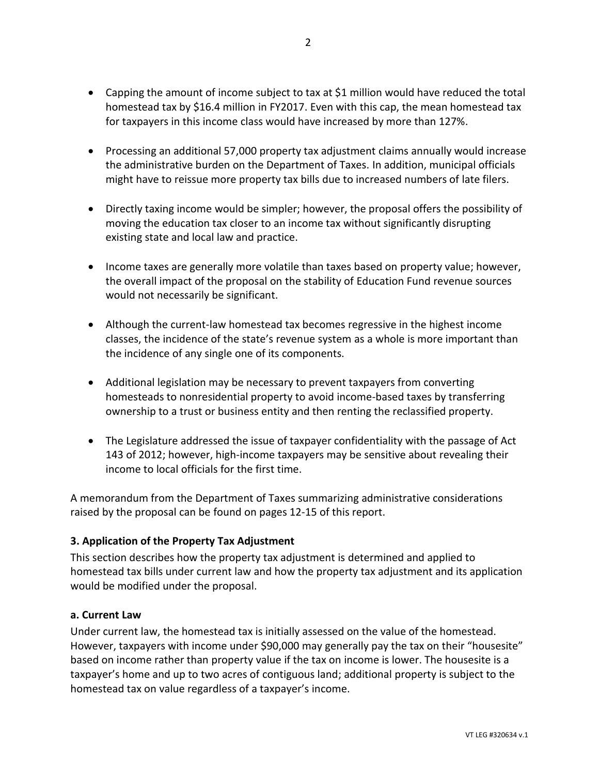- Capping the amount of income subject to tax at \$1 million would have reduced the total homestead tax by \$16.4 million in FY2017. Even with this cap, the mean homestead tax for taxpayers in this income class would have increased by more than 127%.
- Processing an additional 57,000 property tax adjustment claims annually would increase the administrative burden on the Department of Taxes. In addition, municipal officials might have to reissue more property tax bills due to increased numbers of late filers.
- Directly taxing income would be simpler; however, the proposal offers the possibility of moving the education tax closer to an income tax without significantly disrupting existing state and local law and practice.
- Income taxes are generally more volatile than taxes based on property value; however, the overall impact of the proposal on the stability of Education Fund revenue sources would not necessarily be significant.
- Although the current-law homestead tax becomes regressive in the highest income classes, the incidence of the state's revenue system as a whole is more important than the incidence of any single one of its components.
- Additional legislation may be necessary to prevent taxpayers from converting homesteads to nonresidential property to avoid income-based taxes by transferring ownership to a trust or business entity and then renting the reclassified property.
- The Legislature addressed the issue of taxpayer confidentiality with the passage of Act 143 of 2012; however, high-income taxpayers may be sensitive about revealing their income to local officials for the first time.

A memorandum from the Department of Taxes summarizing administrative considerations raised by the proposal can be found on pages 12-15 of this report.

# **3. Application of the Property Tax Adjustment**

This section describes how the property tax adjustment is determined and applied to homestead tax bills under current law and how the property tax adjustment and its application would be modified under the proposal.

#### **a. Current Law**

Under current law, the homestead tax is initially assessed on the value of the homestead. However, taxpayers with income under \$90,000 may generally pay the tax on their "housesite" based on income rather than property value if the tax on income is lower. The housesite is a taxpayer's home and up to two acres of contiguous land; additional property is subject to the homestead tax on value regardless of a taxpayer's income.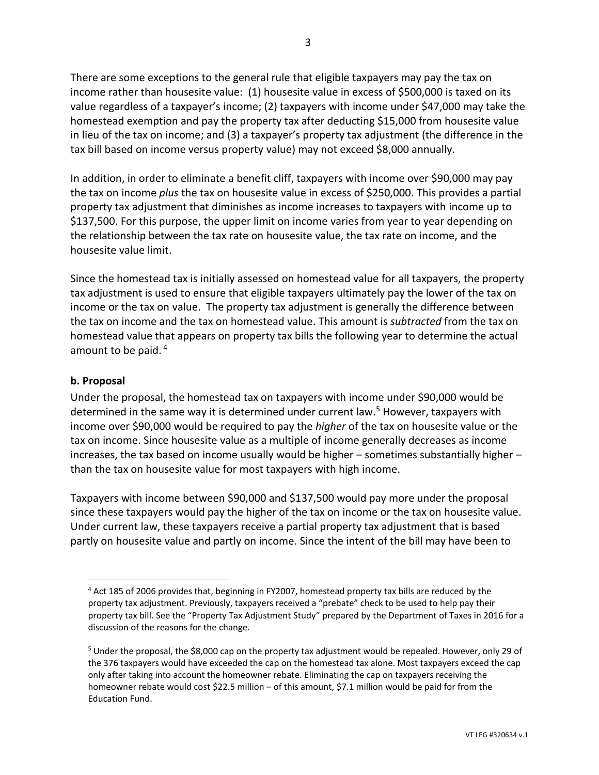There are some exceptions to the general rule that eligible taxpayers may pay the tax on income rather than housesite value: (1) housesite value in excess of \$500,000 is taxed on its value regardless of a taxpayer's income; (2) taxpayers with income under \$47,000 may take the homestead exemption and pay the property tax after deducting \$15,000 from housesite value in lieu of the tax on income; and (3) a taxpayer's property tax adjustment (the difference in the tax bill based on income versus property value) may not exceed \$8,000 annually.

In addition, in order to eliminate a benefit cliff, taxpayers with income over \$90,000 may pay the tax on income *plus* the tax on housesite value in excess of \$250,000. This provides a partial property tax adjustment that diminishes as income increases to taxpayers with income up to \$137,500. For this purpose, the upper limit on income varies from year to year depending on the relationship between the tax rate on housesite value, the tax rate on income, and the housesite value limit.

Since the homestead tax is initially assessed on homestead value for all taxpayers, the property tax adjustment is used to ensure that eligible taxpayers ultimately pay the lower of the tax on income or the tax on value. The property tax adjustment is generally the difference between the tax on income and the tax on homestead value. This amount is *subtracted* from the tax on homestead value that appears on property tax bills the following year to determine the actual amount to be paid. <sup>4</sup>

## **b. Proposal**

 $\overline{a}$ 

Under the proposal, the homestead tax on taxpayers with income under \$90,000 would be determined in the same way it is determined under current law.<sup>5</sup> However, taxpayers with income over \$90,000 would be required to pay the *higher* of the tax on housesite value or the tax on income. Since housesite value as a multiple of income generally decreases as income increases, the tax based on income usually would be higher – sometimes substantially higher – than the tax on housesite value for most taxpayers with high income.

Taxpayers with income between \$90,000 and \$137,500 would pay more under the proposal since these taxpayers would pay the higher of the tax on income or the tax on housesite value. Under current law, these taxpayers receive a partial property tax adjustment that is based partly on housesite value and partly on income. Since the intent of the bill may have been to

<sup>4</sup> Act 185 of 2006 provides that, beginning in FY2007, homestead property tax bills are reduced by the property tax adjustment. Previously, taxpayers received a "prebate" check to be used to help pay their property tax bill. See the "Property Tax Adjustment Study" prepared by the Department of Taxes in 2016 for a discussion of the reasons for the change.

 $5$  Under the proposal, the \$8,000 cap on the property tax adjustment would be repealed. However, only 29 of the 376 taxpayers would have exceeded the cap on the homestead tax alone. Most taxpayers exceed the cap only after taking into account the homeowner rebate. Eliminating the cap on taxpayers receiving the homeowner rebate would cost \$22.5 million – of this amount, \$7.1 million would be paid for from the Education Fund.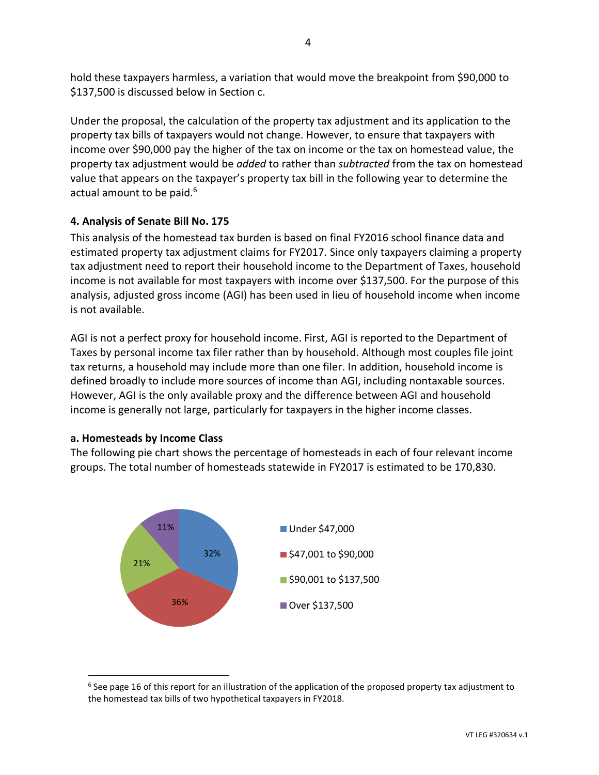hold these taxpayers harmless, a variation that would move the breakpoint from \$90,000 to \$137,500 is discussed below in Section c.

Under the proposal, the calculation of the property tax adjustment and its application to the property tax bills of taxpayers would not change. However, to ensure that taxpayers with income over \$90,000 pay the higher of the tax on income or the tax on homestead value, the property tax adjustment would be *added* to rather than *subtracted* from the tax on homestead value that appears on the taxpayer's property tax bill in the following year to determine the actual amount to be paid.<sup>6</sup>

# **4. Analysis of Senate Bill No. 175**

This analysis of the homestead tax burden is based on final FY2016 school finance data and estimated property tax adjustment claims for FY2017. Since only taxpayers claiming a property tax adjustment need to report their household income to the Department of Taxes, household income is not available for most taxpayers with income over \$137,500. For the purpose of this analysis, adjusted gross income (AGI) has been used in lieu of household income when income is not available.

AGI is not a perfect proxy for household income. First, AGI is reported to the Department of Taxes by personal income tax filer rather than by household. Although most couples file joint tax returns, a household may include more than one filer. In addition, household income is defined broadly to include more sources of income than AGI, including nontaxable sources. However, AGI is the only available proxy and the difference between AGI and household income is generally not large, particularly for taxpayers in the higher income classes.

#### **a. Homesteads by Income Class**

 $\overline{a}$ 

The following pie chart shows the percentage of homesteads in each of four relevant income groups. The total number of homesteads statewide in FY2017 is estimated to be 170,830.



 $<sup>6</sup>$  See page 16 of this report for an illustration of the application of the proposed property tax adjustment to</sup> the homestead tax bills of two hypothetical taxpayers in FY2018.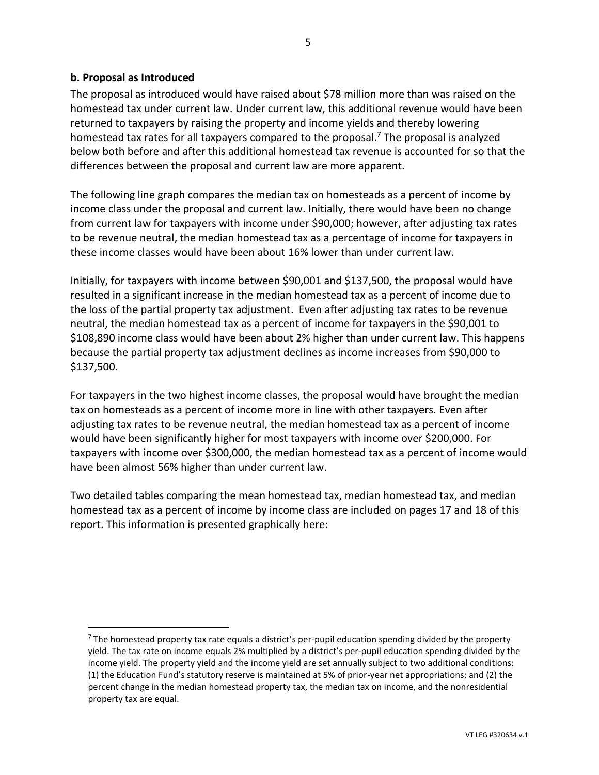## **b. Proposal as Introduced**

 $\overline{a}$ 

The proposal as introduced would have raised about \$78 million more than was raised on the homestead tax under current law. Under current law, this additional revenue would have been returned to taxpayers by raising the property and income yields and thereby lowering homestead tax rates for all taxpayers compared to the proposal.<sup>7</sup> The proposal is analyzed below both before and after this additional homestead tax revenue is accounted for so that the differences between the proposal and current law are more apparent.

The following line graph compares the median tax on homesteads as a percent of income by income class under the proposal and current law. Initially, there would have been no change from current law for taxpayers with income under \$90,000; however, after adjusting tax rates to be revenue neutral, the median homestead tax as a percentage of income for taxpayers in these income classes would have been about 16% lower than under current law.

Initially, for taxpayers with income between \$90,001 and \$137,500, the proposal would have resulted in a significant increase in the median homestead tax as a percent of income due to the loss of the partial property tax adjustment. Even after adjusting tax rates to be revenue neutral, the median homestead tax as a percent of income for taxpayers in the \$90,001 to \$108,890 income class would have been about 2% higher than under current law. This happens because the partial property tax adjustment declines as income increases from \$90,000 to \$137,500.

For taxpayers in the two highest income classes, the proposal would have brought the median tax on homesteads as a percent of income more in line with other taxpayers. Even after adjusting tax rates to be revenue neutral, the median homestead tax as a percent of income would have been significantly higher for most taxpayers with income over \$200,000. For taxpayers with income over \$300,000, the median homestead tax as a percent of income would have been almost 56% higher than under current law.

Two detailed tables comparing the mean homestead tax, median homestead tax, and median homestead tax as a percent of income by income class are included on pages 17 and 18 of this report. This information is presented graphically here:

 $<sup>7</sup>$  The homestead property tax rate equals a district's per-pupil education spending divided by the property</sup> yield. The tax rate on income equals 2% multiplied by a district's per-pupil education spending divided by the income yield. The property yield and the income yield are set annually subject to two additional conditions: (1) the Education Fund's statutory reserve is maintained at 5% of prior-year net appropriations; and (2) the percent change in the median homestead property tax, the median tax on income, and the nonresidential property tax are equal.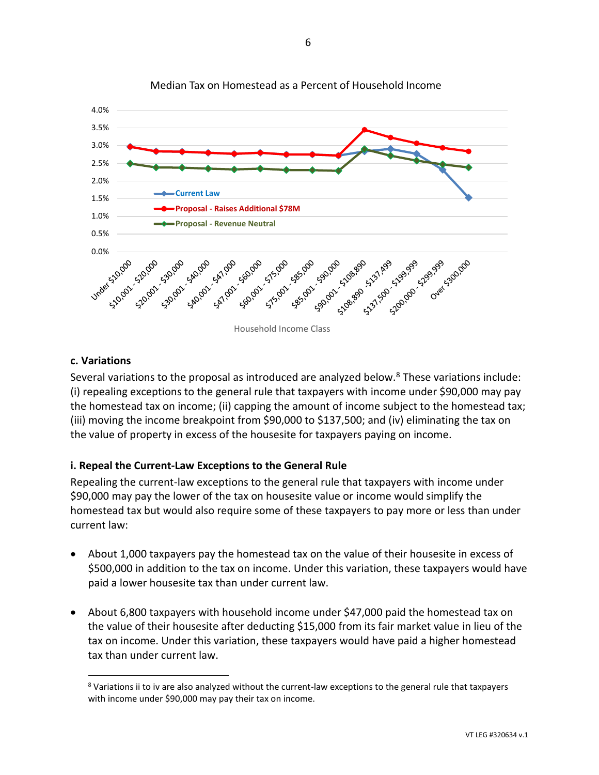

#### Median Tax on Homestead as a Percent of Household Income

## **c. Variations**

 $\overline{a}$ 

Several variations to the proposal as introduced are analyzed below.<sup>8</sup> These variations include: (i) repealing exceptions to the general rule that taxpayers with income under \$90,000 may pay the homestead tax on income; (ii) capping the amount of income subject to the homestead tax; (iii) moving the income breakpoint from \$90,000 to \$137,500; and (iv) eliminating the tax on the value of property in excess of the housesite for taxpayers paying on income.

# **i. Repeal the Current-Law Exceptions to the General Rule**

Repealing the current-law exceptions to the general rule that taxpayers with income under \$90,000 may pay the lower of the tax on housesite value or income would simplify the homestead tax but would also require some of these taxpayers to pay more or less than under current law:

- About 1,000 taxpayers pay the homestead tax on the value of their housesite in excess of \$500,000 in addition to the tax on income. Under this variation, these taxpayers would have paid a lower housesite tax than under current law.
- About 6,800 taxpayers with household income under \$47,000 paid the homestead tax on the value of their housesite after deducting \$15,000 from its fair market value in lieu of the tax on income. Under this variation, these taxpayers would have paid a higher homestead tax than under current law.

 $8$  Variations ii to iv are also analyzed without the current-law exceptions to the general rule that taxpayers with income under \$90,000 may pay their tax on income.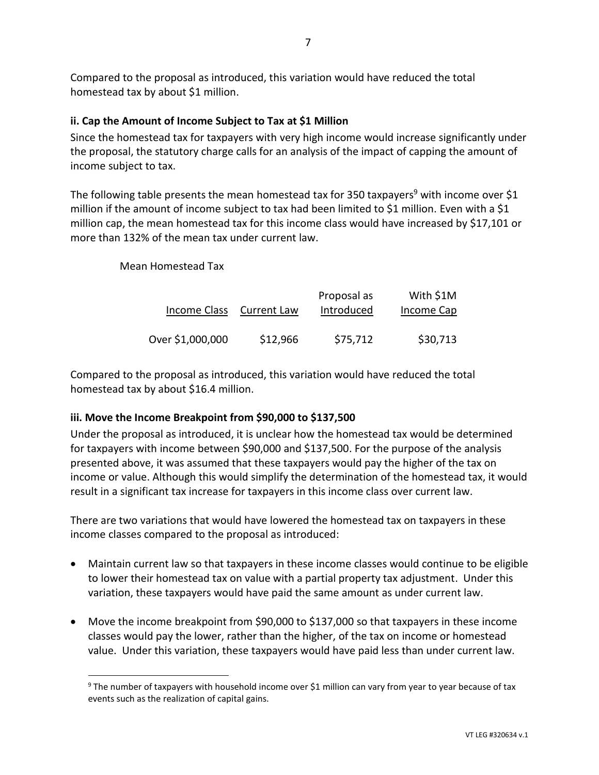Compared to the proposal as introduced, this variation would have reduced the total homestead tax by about \$1 million.

# **ii. Cap the Amount of Income Subject to Tax at \$1 Million**

Since the homestead tax for taxpayers with very high income would increase significantly under the proposal, the statutory charge calls for an analysis of the impact of capping the amount of income subject to tax.

The following table presents the mean homestead tax for 350 taxpayers<sup>9</sup> with income over \$1 million if the amount of income subject to tax had been limited to \$1 million. Even with a \$1 million cap, the mean homestead tax for this income class would have increased by \$17,101 or more than 132% of the mean tax under current law.

# Mean Homestead Tax

 $\overline{a}$ 

| Income Class     | <b>Current Law</b> | Proposal as<br>Introduced | With \$1M<br>Income Cap |
|------------------|--------------------|---------------------------|-------------------------|
| Over \$1,000,000 | \$12,966           | \$75,712                  | \$30,713                |

Compared to the proposal as introduced, this variation would have reduced the total homestead tax by about \$16.4 million.

# **iii. Move the Income Breakpoint from \$90,000 to \$137,500**

Under the proposal as introduced, it is unclear how the homestead tax would be determined for taxpayers with income between \$90,000 and \$137,500. For the purpose of the analysis presented above, it was assumed that these taxpayers would pay the higher of the tax on income or value. Although this would simplify the determination of the homestead tax, it would result in a significant tax increase for taxpayers in this income class over current law.

There are two variations that would have lowered the homestead tax on taxpayers in these income classes compared to the proposal as introduced:

- Maintain current law so that taxpayers in these income classes would continue to be eligible to lower their homestead tax on value with a partial property tax adjustment. Under this variation, these taxpayers would have paid the same amount as under current law.
- Move the income breakpoint from \$90,000 to \$137,000 so that taxpayers in these income classes would pay the lower, rather than the higher, of the tax on income or homestead value. Under this variation, these taxpayers would have paid less than under current law.

<sup>&</sup>lt;sup>9</sup> The number of taxpayers with household income over \$1 million can vary from year to year because of tax events such as the realization of capital gains.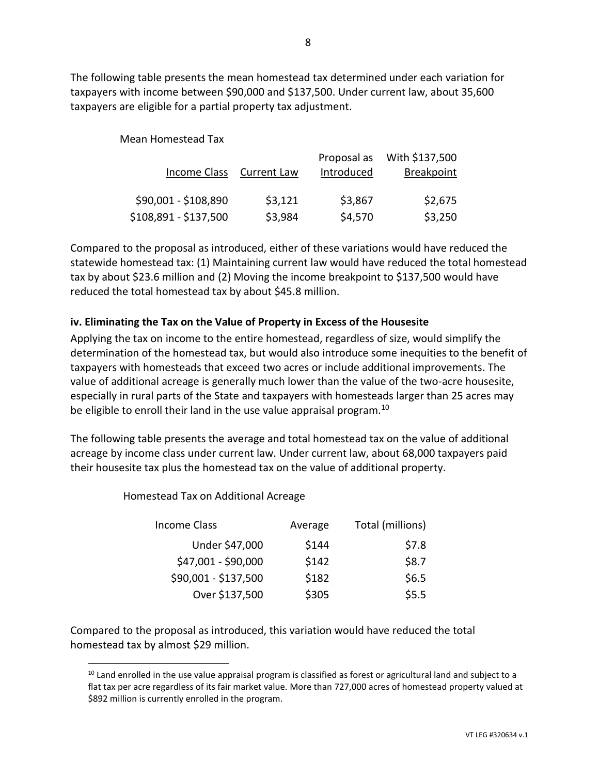The following table presents the mean homestead tax determined under each variation for taxpayers with income between \$90,000 and \$137,500. Under current law, about 35,600 taxpayers are eligible for a partial property tax adjustment.

Mean Homestead Tax

|                       |                    | Proposal as | With \$137,500    |
|-----------------------|--------------------|-------------|-------------------|
| Income Class          | <b>Current Law</b> | Introduced  | <b>Breakpoint</b> |
|                       |                    |             |                   |
| \$90,001 - \$108,890  | \$3,121            | \$3,867     | \$2,675           |
| \$108,891 - \$137,500 | \$3,984            | \$4,570     | \$3,250           |

Compared to the proposal as introduced, either of these variations would have reduced the statewide homestead tax: (1) Maintaining current law would have reduced the total homestead tax by about \$23.6 million and (2) Moving the income breakpoint to \$137,500 would have reduced the total homestead tax by about \$45.8 million.

# **iv. Eliminating the Tax on the Value of Property in Excess of the Housesite**

Applying the tax on income to the entire homestead, regardless of size, would simplify the determination of the homestead tax, but would also introduce some inequities to the benefit of taxpayers with homesteads that exceed two acres or include additional improvements. The value of additional acreage is generally much lower than the value of the two-acre housesite, especially in rural parts of the State and taxpayers with homesteads larger than 25 acres may be eligible to enroll their land in the use value appraisal program.<sup>10</sup>

The following table presents the average and total homestead tax on the value of additional acreage by income class under current law. Under current law, about 68,000 taxpayers paid their housesite tax plus the homestead tax on the value of additional property.

Homestead Tax on Additional Acreage

 $\overline{a}$ 

| Income Class         | Average | Total (millions) |
|----------------------|---------|------------------|
| Under \$47,000       | \$144   | \$7.8            |
| \$47,001 - \$90,000  | \$142   | \$8.7            |
| \$90,001 - \$137,500 | \$182   | \$6.5            |
| Over \$137,500       | \$305   | \$5.5            |

Compared to the proposal as introduced, this variation would have reduced the total homestead tax by almost \$29 million.

 $10$  Land enrolled in the use value appraisal program is classified as forest or agricultural land and subject to a flat tax per acre regardless of its fair market value. More than 727,000 acres of homestead property valued at \$892 million is currently enrolled in the program.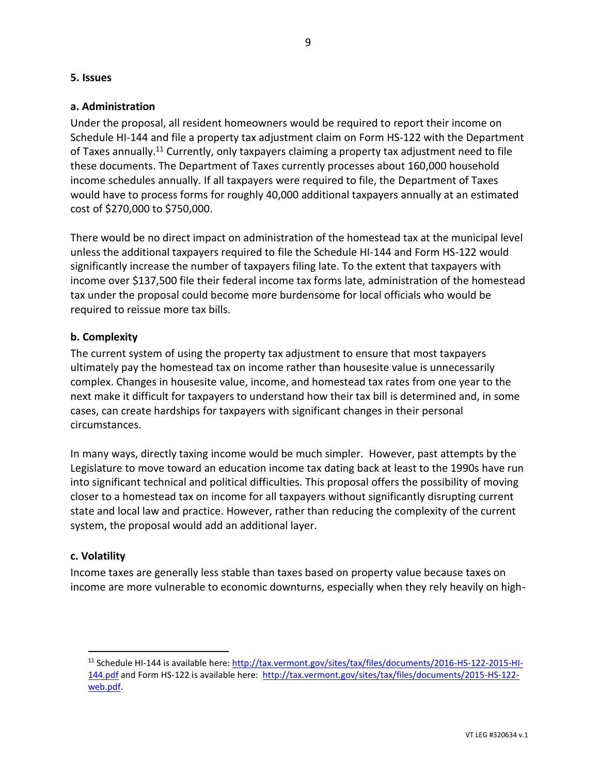### **5. Issues**

## **a. Administration**

Under the proposal, all resident homeowners would be required to report their income on Schedule HI-144 and file a property tax adjustment claim on Form HS-122 with the Department of Taxes annually.<sup>11</sup> Currently, only taxpayers claiming a property tax adjustment need to file these documents. The Department of Taxes currently processes about 160,000 household income schedules annually. If all taxpayers were required to file, the Department of Taxes would have to process forms for roughly 40,000 additional taxpayers annually at an estimated cost of \$270,000 to \$750,000.

There would be no direct impact on administration of the homestead tax at the municipal level unless the additional taxpayers required to file the Schedule HI-144 and Form HS-122 would significantly increase the number of taxpayers filing late. To the extent that taxpayers with income over \$137,500 file their federal income tax forms late, administration of the homestead tax under the proposal could become more burdensome for local officials who would be required to reissue more tax bills.

# **b. Complexity**

The current system of using the property tax adjustment to ensure that most taxpayers ultimately pay the homestead tax on income rather than housesite value is unnecessarily complex. Changes in housesite value, income, and homestead tax rates from one year to the next make it difficult for taxpayers to understand how their tax bill is determined and, in some cases, can create hardships for taxpayers with significant changes in their personal circumstances.

In many ways, directly taxing income would be much simpler. However, past attempts by the Legislature to move toward an education income tax dating back at least to the 1990s have run into significant technical and political difficulties. This proposal offers the possibility of moving closer to a homestead tax on income for all taxpayers without significantly disrupting current state and local law and practice. However, rather than reducing the complexity of the current system, the proposal would add an additional layer.

#### **c. Volatility**

 $\overline{a}$ 

Income taxes are generally less stable than taxes based on property value because taxes on income are more vulnerable to economic downturns, especially when they rely heavily on high-

<sup>11</sup> Schedule HI-144 is available here[: http://tax.vermont.gov/sites/tax/files/documents/2016-HS-122-2015-HI-](http://tax.vermont.gov/sites/tax/files/documents/2016-HS-122-2015-HI-144.pdf)[144.pdf](http://tax.vermont.gov/sites/tax/files/documents/2016-HS-122-2015-HI-144.pdf) and Form HS-122 is available here: [http://tax.vermont.gov/sites/tax/files/documents/2015-HS-122](http://tax.vermont.gov/sites/tax/files/documents/2015-HS-122-web.pdf) [web.pdf.](http://tax.vermont.gov/sites/tax/files/documents/2015-HS-122-web.pdf)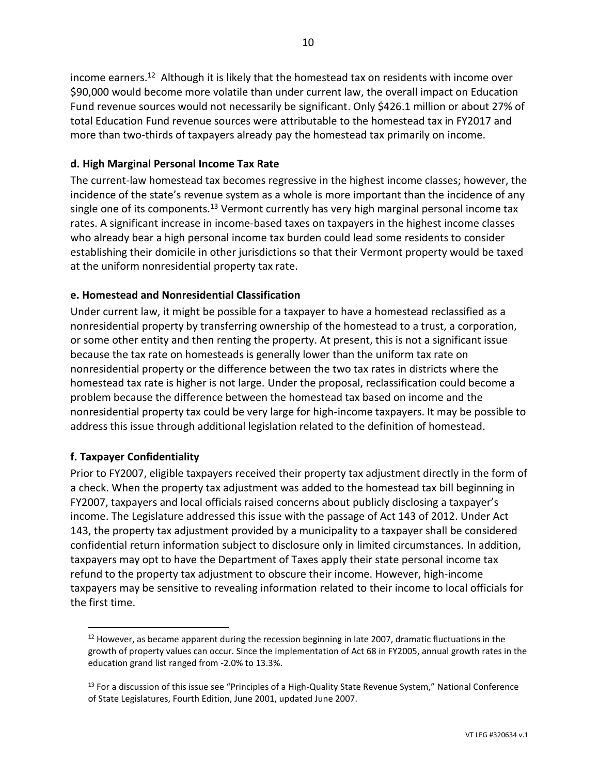income earners.<sup>12</sup> Although it is likely that the homestead tax on residents with income over \$90,000 would become more volatile than under current law, the overall impact on Education Fund revenue sources would not necessarily be significant. Only \$426.1 million or about 27% of total Education Fund revenue sources were attributable to the homestead tax in FY2017 and more than two-thirds of taxpayers already pay the homestead tax primarily on income.

# **d. High Marginal Personal Income Tax Rate**

The current-law homestead tax becomes regressive in the highest income classes; however, the incidence of the state's revenue system as a whole is more important than the incidence of any single one of its components.<sup>13</sup> Vermont currently has very high marginal personal income tax rates. A significant increase in income-based taxes on taxpayers in the highest income classes who already bear a high personal income tax burden could lead some residents to consider establishing their domicile in other jurisdictions so that their Vermont property would be taxed at the uniform nonresidential property tax rate.

# **e. Homestead and Nonresidential Classification**

Under current law, it might be possible for a taxpayer to have a homestead reclassified as a nonresidential property by transferring ownership of the homestead to a trust, a corporation, or some other entity and then renting the property. At present, this is not a significant issue because the tax rate on homesteads is generally lower than the uniform tax rate on nonresidential property or the difference between the two tax rates in districts where the homestead tax rate is higher is not large. Under the proposal, reclassification could become a problem because the difference between the homestead tax based on income and the nonresidential property tax could be very large for high-income taxpayers. It may be possible to address this issue through additional legislation related to the definition of homestead.

# **f. Taxpayer Confidentiality**

 $\overline{a}$ 

Prior to FY2007, eligible taxpayers received their property tax adjustment directly in the form of a check. When the property tax adjustment was added to the homestead tax bill beginning in FY2007, taxpayers and local officials raised concerns about publicly disclosing a taxpayer's income. The Legislature addressed this issue with the passage of Act 143 of 2012. Under Act 143, the property tax adjustment provided by a municipality to a taxpayer shall be considered confidential return information subject to disclosure only in limited circumstances. In addition, taxpayers may opt to have the Department of Taxes apply their state personal income tax refund to the property tax adjustment to obscure their income. However, high-income taxpayers may be sensitive to revealing information related to their income to local officials for the first time.

 $12$  However, as became apparent during the recession beginning in late 2007, dramatic fluctuations in the growth of property values can occur. Since the implementation of Act 68 in FY2005, annual growth rates in the education grand list ranged from -2.0% to 13.3%.

<sup>&</sup>lt;sup>13</sup> For a discussion of this issue see "Principles of a High-Quality State Revenue System," National Conference of State Legislatures, Fourth Edition, June 2001, updated June 2007.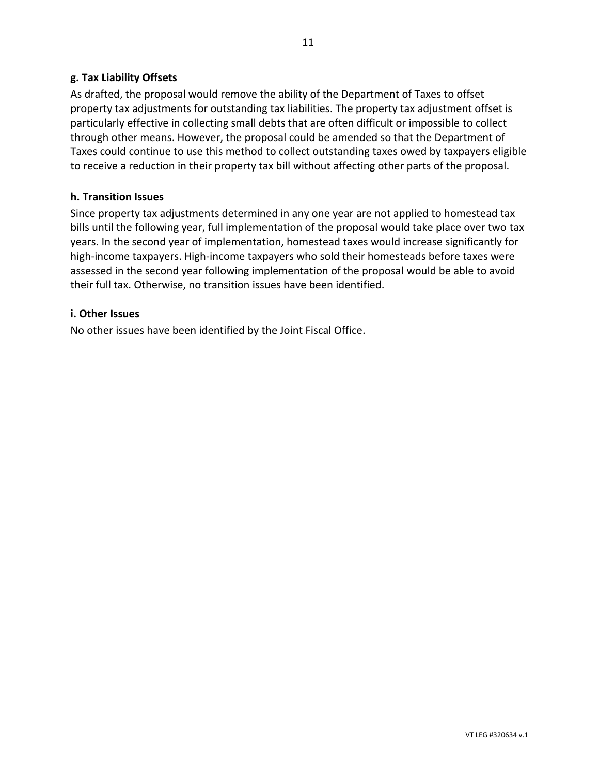# **g. Tax Liability Offsets**

As drafted, the proposal would remove the ability of the Department of Taxes to offset property tax adjustments for outstanding tax liabilities. The property tax adjustment offset is particularly effective in collecting small debts that are often difficult or impossible to collect through other means. However, the proposal could be amended so that the Department of Taxes could continue to use this method to collect outstanding taxes owed by taxpayers eligible to receive a reduction in their property tax bill without affecting other parts of the proposal.

## **h. Transition Issues**

Since property tax adjustments determined in any one year are not applied to homestead tax bills until the following year, full implementation of the proposal would take place over two tax years. In the second year of implementation, homestead taxes would increase significantly for high-income taxpayers. High-income taxpayers who sold their homesteads before taxes were assessed in the second year following implementation of the proposal would be able to avoid their full tax. Otherwise, no transition issues have been identified.

#### **i. Other Issues**

No other issues have been identified by the Joint Fiscal Office.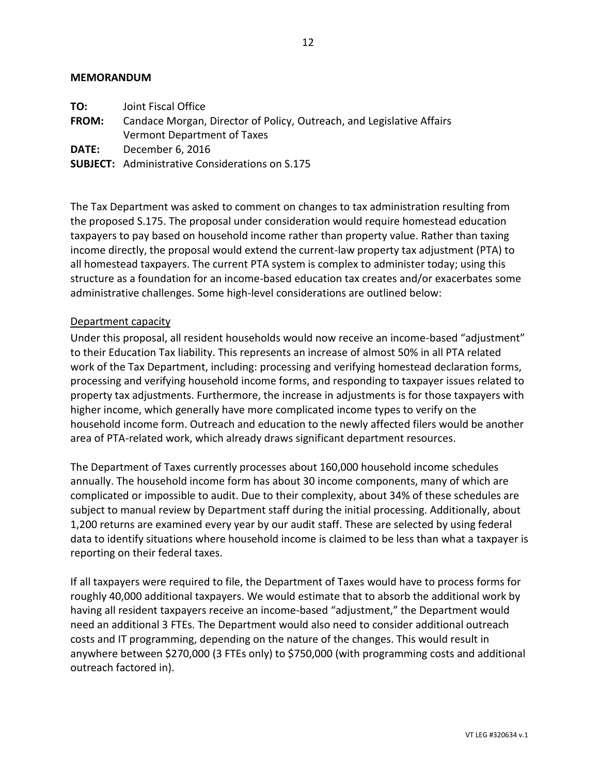#### **MEMORANDUM**

- **FROM:** Candace Morgan, Director of Policy, Outreach, and Legislative Affairs Vermont Department of Taxes
- **DATE:** December 6, 2016
- **SUBJECT:** Administrative Considerations on S.175

The Tax Department was asked to comment on changes to tax administration resulting from the proposed S.175. The proposal under consideration would require homestead education taxpayers to pay based on household income rather than property value. Rather than taxing income directly, the proposal would extend the current-law property tax adjustment (PTA) to all homestead taxpayers. The current PTA system is complex to administer today; using this structure as a foundation for an income-based education tax creates and/or exacerbates some administrative challenges. Some high-level considerations are outlined below:

## Department capacity

Under this proposal, all resident households would now receive an income-based "adjustment" to their Education Tax liability. This represents an increase of almost 50% in all PTA related work of the Tax Department, including: processing and verifying homestead declaration forms, processing and verifying household income forms, and responding to taxpayer issues related to property tax adjustments. Furthermore, the increase in adjustments is for those taxpayers with higher income, which generally have more complicated income types to verify on the household income form. Outreach and education to the newly affected filers would be another area of PTA-related work, which already draws significant department resources.

The Department of Taxes currently processes about 160,000 household income schedules annually. The household income form has about 30 income components, many of which are complicated or impossible to audit. Due to their complexity, about 34% of these schedules are subject to manual review by Department staff during the initial processing. Additionally, about 1,200 returns are examined every year by our audit staff. These are selected by using federal data to identify situations where household income is claimed to be less than what a taxpayer is reporting on their federal taxes.

If all taxpayers were required to file, the Department of Taxes would have to process forms for roughly 40,000 additional taxpayers. We would estimate that to absorb the additional work by having all resident taxpayers receive an income-based "adjustment," the Department would need an additional 3 FTEs. The Department would also need to consider additional outreach costs and IT programming, depending on the nature of the changes. This would result in anywhere between \$270,000 (3 FTEs only) to \$750,000 (with programming costs and additional outreach factored in).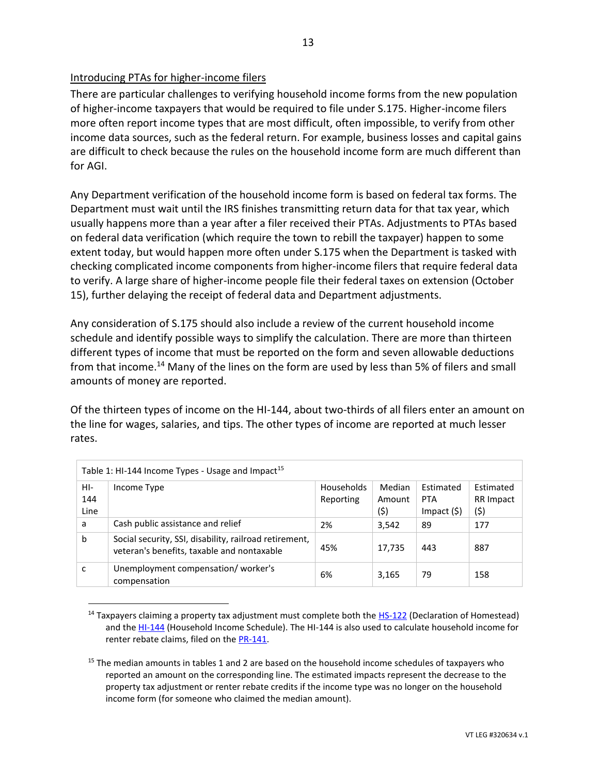# Introducing PTAs for higher-income filers

There are particular challenges to verifying household income forms from the new population of higher-income taxpayers that would be required to file under S.175. Higher-income filers more often report income types that are most difficult, often impossible, to verify from other income data sources, such as the federal return. For example, business losses and capital gains are difficult to check because the rules on the household income form are much different than for AGI.

Any Department verification of the household income form is based on federal tax forms. The Department must wait until the IRS finishes transmitting return data for that tax year, which usually happens more than a year after a filer received their PTAs. Adjustments to PTAs based on federal data verification (which require the town to rebill the taxpayer) happen to some extent today, but would happen more often under S.175 when the Department is tasked with checking complicated income components from higher-income filers that require federal data to verify. A large share of higher-income people file their federal taxes on extension (October 15), further delaying the receipt of federal data and Department adjustments.

Any consideration of S.175 should also include a review of the current household income schedule and identify possible ways to simplify the calculation. There are more than thirteen different types of income that must be reported on the form and seven allowable deductions from that income.<sup>14</sup> Many of the lines on the form are used by less than 5% of filers and small amounts of money are reported.

Of the thirteen types of income on the HI-144, about two-thirds of all filers enter an amount on the line for wages, salaries, and tips. The other types of income are reported at much lesser rates.

| Table 1: HI-144 Income Types - Usage and Impact <sup>15</sup> |                                                                                                      |                                |                          |                                            |                               |  |  |
|---------------------------------------------------------------|------------------------------------------------------------------------------------------------------|--------------------------------|--------------------------|--------------------------------------------|-------------------------------|--|--|
| HI-<br>144<br>Line                                            | Income Type                                                                                          | <b>Households</b><br>Reporting | Median<br>Amount<br>(\$) | Estimated<br><b>PTA</b><br>$Im$ pact $(S)$ | Estimated<br>RR Impact<br>(5) |  |  |
| a                                                             | Cash public assistance and relief                                                                    | 2%                             | 3,542                    | 89                                         | 177                           |  |  |
| b                                                             | Social security, SSI, disability, railroad retirement,<br>veteran's benefits, taxable and nontaxable | 45%                            | 17,735                   | 443                                        | 887                           |  |  |
|                                                               | Unemployment compensation/worker's<br>compensation                                                   | 6%                             | 3,165                    | 79                                         | 158                           |  |  |

 $\overline{a}$ <sup>14</sup> Taxpayers claiming a property tax adjustment must complete both the [HS-122](http://tax.vermont.gov/sites/tax/files/documents/2016-HS-122-2015-HI-144.pdf) (Declaration of Homestead) and th[e HI-144](http://tax.vermont.gov/sites/tax/files/documents/2016-HS-122-2015-HI-144.pdf) (Household Income Schedule). The HI-144 is also used to calculate household income for renter rebate claims, filed on the [PR-141.](http://tax.vermont.gov/sites/tax/files/documents/2015-PR-141-HI-144.pdf)

<sup>&</sup>lt;sup>15</sup> The median amounts in tables 1 and 2 are based on the household income schedules of taxpayers who reported an amount on the corresponding line. The estimated impacts represent the decrease to the property tax adjustment or renter rebate credits if the income type was no longer on the household income form (for someone who claimed the median amount).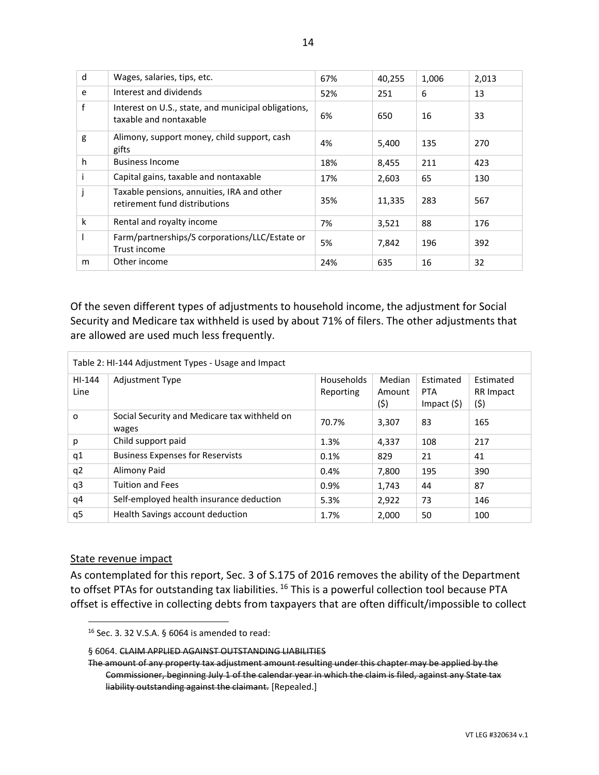| d | Wages, salaries, tips, etc.                                                   | 67% | 40,255 | 1,006 | 2,013 |
|---|-------------------------------------------------------------------------------|-----|--------|-------|-------|
| e | Interest and dividends                                                        | 52% | 251    | 6     | 13    |
| f | Interest on U.S., state, and municipal obligations,<br>taxable and nontaxable | 6%  | 650    | 16    | 33    |
| g | Alimony, support money, child support, cash<br>gifts                          | 4%  | 5,400  | 135   | 270   |
| h | <b>Business Income</b>                                                        | 18% | 8,455  | 211   | 423   |
|   | Capital gains, taxable and nontaxable                                         | 17% | 2,603  | 65    | 130   |
|   | Taxable pensions, annuities, IRA and other<br>retirement fund distributions   | 35% | 11,335 | 283   | 567   |
| k | Rental and royalty income                                                     | 7%  | 3,521  | 88    | 176   |
|   | Farm/partnerships/S corporations/LLC/Estate or<br>Trust income                | 5%  | 7,842  | 196   | 392   |
| m | Other income                                                                  | 24% | 635    | 16    | 32    |

Of the seven different types of adjustments to household income, the adjustment for Social Security and Medicare tax withheld is used by about 71% of filers. The other adjustments that are allowed are used much less frequently.

| Table 2: HI-144 Adjustment Types - Usage and Impact |                                                       |                                |                          |                                                 |                                |  |  |
|-----------------------------------------------------|-------------------------------------------------------|--------------------------------|--------------------------|-------------------------------------------------|--------------------------------|--|--|
| $HI-144$<br>Line                                    | <b>Adjustment Type</b>                                | <b>Households</b><br>Reporting | Median<br>Amount<br>(\$) | Estimated<br><b>PTA</b><br>$Im$ pact $($ \$ $)$ | Estimated<br>RR Impact<br>(\$) |  |  |
| o                                                   | Social Security and Medicare tax withheld on<br>wages | 70.7%                          | 3,307                    | 83                                              | 165                            |  |  |
| p                                                   | Child support paid                                    | 1.3%                           | 4,337                    | 108                                             | 217                            |  |  |
| q1                                                  | <b>Business Expenses for Reservists</b>               | 0.1%                           | 829                      | 21                                              | 41                             |  |  |
| q <sub>2</sub>                                      | Alimony Paid                                          | 0.4%                           | 7,800                    | 195                                             | 390                            |  |  |
| q3                                                  | <b>Tuition and Fees</b>                               | 0.9%                           | 1,743                    | 44                                              | 87                             |  |  |
| q4                                                  | Self-employed health insurance deduction              | 5.3%                           | 2,922                    | 73                                              | 146                            |  |  |
| q5                                                  | Health Savings account deduction                      | 1.7%                           | 2,000                    | 50                                              | 100                            |  |  |

#### State revenue impact

 $\overline{a}$ 

As contemplated for this report, Sec. 3 of S.175 of 2016 removes the ability of the Department to offset PTAs for outstanding tax liabilities. <sup>16</sup> This is a powerful collection tool because PTA offset is effective in collecting debts from taxpayers that are often difficult/impossible to collect

<sup>16</sup> Sec. 3. 32 V.S.A. § 6064 is amended to read:

<sup>§ 6064.</sup> CLAIM APPLIED AGAINST OUTSTANDING LIABILITIES

The amount of any property tax adjustment amount resulting under this chapter may be applied by the Commissioner, beginning July 1 of the calendar year in which the claim is filed, against any State tax liability outstanding against the claimant. [Repealed.]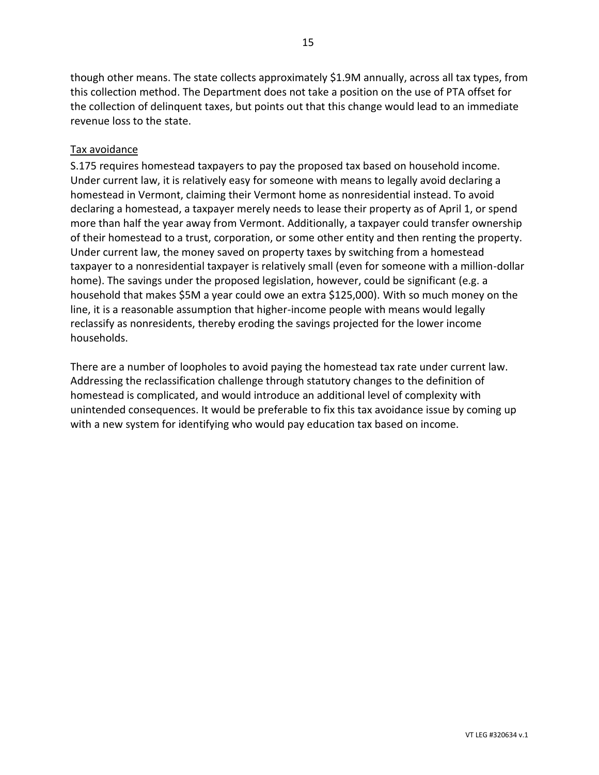though other means. The state collects approximately \$1.9M annually, across all tax types, from this collection method. The Department does not take a position on the use of PTA offset for the collection of delinquent taxes, but points out that this change would lead to an immediate revenue loss to the state.

# Tax avoidance

S.175 requires homestead taxpayers to pay the proposed tax based on household income. Under current law, it is relatively easy for someone with means to legally avoid declaring a homestead in Vermont, claiming their Vermont home as nonresidential instead. To avoid declaring a homestead, a taxpayer merely needs to lease their property as of April 1, or spend more than half the year away from Vermont. Additionally, a taxpayer could transfer ownership of their homestead to a trust, corporation, or some other entity and then renting the property. Under current law, the money saved on property taxes by switching from a homestead taxpayer to a nonresidential taxpayer is relatively small (even for someone with a million-dollar home). The savings under the proposed legislation, however, could be significant (e.g. a household that makes \$5M a year could owe an extra \$125,000). With so much money on the line, it is a reasonable assumption that higher-income people with means would legally reclassify as nonresidents, thereby eroding the savings projected for the lower income households.

There are a number of loopholes to avoid paying the homestead tax rate under current law. Addressing the reclassification challenge through statutory changes to the definition of homestead is complicated, and would introduce an additional level of complexity with unintended consequences. It would be preferable to fix this tax avoidance issue by coming up with a new system for identifying who would pay education tax based on income.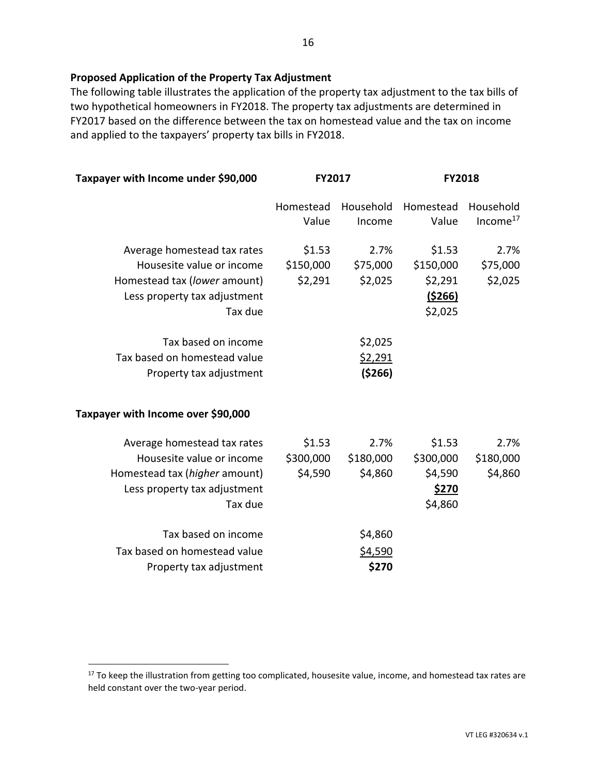# **Proposed Application of the Property Tax Adjustment**

The following table illustrates the application of the property tax adjustment to the tax bills of two hypothetical homeowners in FY2018. The property tax adjustments are determined in FY2017 based on the difference between the tax on homestead value and the tax on income and applied to the taxpayers' property tax bills in FY2018.

| Taxpayer with Income under \$90,000<br>FY2017                                                                                        |                                |                                       | <b>FY2018</b>                                               |                                   |  |
|--------------------------------------------------------------------------------------------------------------------------------------|--------------------------------|---------------------------------------|-------------------------------------------------------------|-----------------------------------|--|
|                                                                                                                                      | Homestead<br>Value             | Household<br>Income                   | Homestead<br>Value                                          | Household<br>Income <sup>17</sup> |  |
| Average homestead tax rates<br>Housesite value or income<br>Homestead tax (lower amount)<br>Less property tax adjustment<br>Tax due  | \$1.53<br>\$150,000<br>\$2,291 | 2.7%<br>\$75,000<br>\$2,025           | \$1.53<br>\$150,000<br>\$2,291<br><u>(\$266)</u><br>\$2,025 | 2.7%<br>\$75,000<br>\$2,025       |  |
| Tax based on income<br>Tax based on homestead value<br>Property tax adjustment                                                       |                                | \$2,025<br><u>\$2,291</u><br>( \$266) |                                                             |                                   |  |
| Taxpayer with Income over \$90,000                                                                                                   |                                |                                       |                                                             |                                   |  |
| Average homestead tax rates<br>Housesite value or income<br>Homestead tax (higher amount)<br>Less property tax adjustment<br>Tax due | \$1.53<br>\$300,000<br>\$4,590 | 2.7%<br>\$180,000<br>\$4,860          | \$1.53<br>\$300,000<br>\$4,590<br>\$270<br>\$4,860          | 2.7%<br>\$180,000<br>\$4,860      |  |
| Tax based on income<br>Tax based on homestead value<br>Property tax adjustment                                                       |                                | \$4,860<br>\$4,590<br>\$270           |                                                             |                                   |  |

 $\overline{a}$ 

<sup>&</sup>lt;sup>17</sup> To keep the illustration from getting too complicated, housesite value, income, and homestead tax rates are held constant over the two-year period.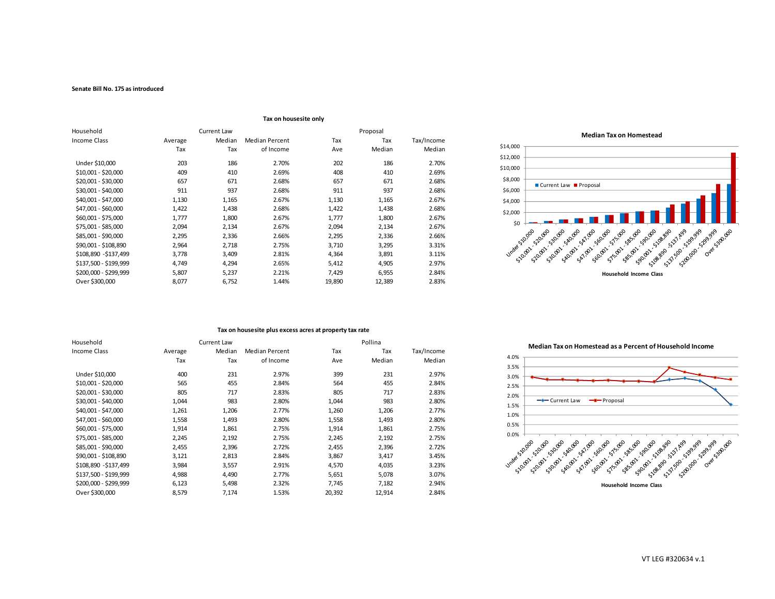#### **Senate Bill No. 175 as introduced**

|                       | LAN OIL HOUSESILE OILLY |        |                       |          |        |            |
|-----------------------|-------------------------|--------|-----------------------|----------|--------|------------|
| Household             | Current Law             |        |                       | Proposal |        |            |
| Income Class          | Average                 | Median | <b>Median Percent</b> | Tax      | Tax    | Tax/Income |
|                       | Tax                     | Tax    | of Income             | Ave      | Median | Median     |
| Under \$10,000        | 203                     | 186    | 2.70%                 | 202      | 186    | 2.70%      |
| \$10,001 - \$20,000   | 409                     | 410    | 2.69%                 | 408      | 410    | 2.69%      |
| \$20,001 - \$30,000   | 657                     | 671    | 2.68%                 | 657      | 671    | 2.68%      |
| \$30,001 - \$40,000   | 911                     | 937    | 2.68%                 | 911      | 937    | 2.68%      |
| \$40,001 - \$47,000   | 1,130                   | 1,165  | 2.67%                 | 1,130    | 1,165  | 2.67%      |
| \$47,001 - \$60,000   | 1,422                   | 1,438  | 2.68%                 | 1,422    | 1,438  | 2.68%      |
| \$60,001 - \$75,000   | 1,777                   | 1,800  | 2.67%                 | 1,777    | 1,800  | 2.67%      |
| \$75,001 - \$85,000   | 2,094                   | 2,134  | 2.67%                 | 2,094    | 2,134  | 2.67%      |
| \$85,001 - \$90,000   | 2,295                   | 2,336  | 2.66%                 | 2,295    | 2,336  | 2.66%      |
| \$90,001 - \$108,890  | 2,964                   | 2,718  | 2.75%                 | 3,710    | 3,295  | 3.31%      |
| \$108,890 - \$137,499 | 3,778                   | 3,409  | 2.81%                 | 4,364    | 3,891  | 3.11%      |
| \$137,500 - \$199,999 | 4,749                   | 4,294  | 2.65%                 | 5,412    | 4,905  | 2.97%      |
| \$200,000 - \$299,999 | 5,807                   | 5,237  | 2.21%                 | 7,429    | 6,955  | 2.84%      |
| Over \$300,000        | 8,077                   | 6,752  | 1.44%                 | 19,890   | 12,389 | 2.83%      |

#### **Tax on housesite only**



#### **Tax on housesite plus excess acres at property tax rate**

| Household             |         | Current Law |                       |        | Pollina |            |
|-----------------------|---------|-------------|-----------------------|--------|---------|------------|
| Income Class          | Average | Median      | <b>Median Percent</b> | Tax    | Tax     | Tax/Income |
|                       | Tax     | Tax         | of Income             | Ave    | Median  | Median     |
| Under \$10,000        | 400     | 231         | 2.97%                 | 399    | 231     | 2.97%      |
| \$10,001 - \$20,000   | 565     | 455         | 2.84%                 | 564    | 455     | 2.84%      |
| \$20,001 - \$30,000   | 805     | 717         | 2.83%                 | 805    | 717     | 2.83%      |
| \$30,001 - \$40,000   | 1,044   | 983         | 2.80%                 | 1,044  | 983     | 2.80%      |
| \$40,001 - \$47,000   | 1,261   | 1,206       | 2.77%                 | 1,260  | 1,206   | 2.77%      |
| \$47,001 - \$60,000   | 1,558   | 1,493       | 2.80%                 | 1,558  | 1,493   | 2.80%      |
| \$60,001 - \$75,000   | 1,914   | 1,861       | 2.75%                 | 1,914  | 1,861   | 2.75%      |
| \$75,001 - \$85,000   | 2,245   | 2,192       | 2.75%                 | 2,245  | 2,192   | 2.75%      |
| \$85,001 - \$90,000   | 2,455   | 2,396       | 2.72%                 | 2,455  | 2,396   | 2.72%      |
| \$90,001 - \$108,890  | 3,121   | 2,813       | 2.84%                 | 3,867  | 3,417   | 3.45%      |
| \$108,890 - \$137,499 | 3,984   | 3,557       | 2.91%                 | 4,570  | 4,035   | 3.23%      |
| \$137,500 - \$199,999 | 4,988   | 4,490       | 2.77%                 | 5,651  | 5,078   | 3.07%      |
| \$200,000 - \$299,999 | 6,123   | 5,498       | 2.32%                 | 7,745  | 7,182   | 2.94%      |
| Over \$300,000        | 8,579   | 7,174       | 1.53%                 | 20,392 | 12,914  | 2.84%      |

**Median Tax on Homestead as a Percent of Household Income**

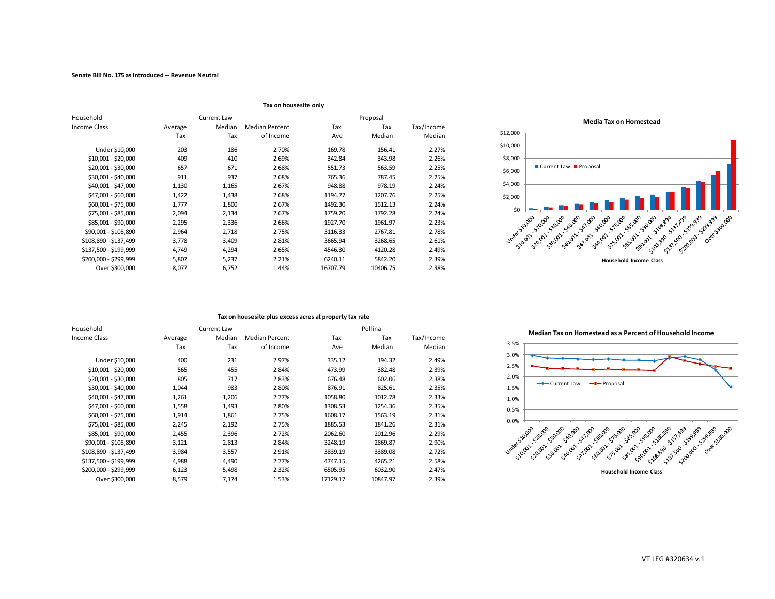|                       | Tax on housesite only |        |                |          |          |            |
|-----------------------|-----------------------|--------|----------------|----------|----------|------------|
| Household             | Current Law           |        |                | Proposal |          |            |
| Income Class          | Average               | Median | Median Percent | Tax      | Tax      | Tax/Income |
|                       | Tax                   | Tax    | of Income      | Ave      | Median   | Median     |
| Under \$10,000        | 203                   | 186    | 2.70%          | 169.78   | 156.41   | 2.27%      |
| $$10,001 - $20,000$   | 409                   | 410    | 2.69%          | 342.84   | 343.98   | 2.26%      |
| \$20,001 - \$30,000   | 657                   | 671    | 2.68%          | 551.73   | 563.59   | 2.25%      |
| \$30,001 - \$40,000   | 911                   | 937    | 2.68%          | 765.36   | 787.45   | 2.25%      |
| \$40,001 - \$47,000   | 1,130                 | 1,165  | 2.67%          | 948.88   | 978.19   | 2.24%      |
| \$47,001 - \$60,000   | 1,422                 | 1,438  | 2.68%          | 1194.77  | 1207.76  | 2.25%      |
| \$60,001 - \$75,000   | 1,777                 | 1,800  | 2.67%          | 1492.30  | 1512.13  | 2.24%      |
| \$75,001 - \$85,000   | 2,094                 | 2,134  | 2.67%          | 1759.20  | 1792.28  | 2.24%      |
| \$85,001 - \$90,000   | 2,295                 | 2,336  | 2.66%          | 1927.70  | 1961.97  | 2.23%      |
| \$90,001 - \$108,890  | 2,964                 | 2,718  | 2.75%          | 3116.33  | 2767.81  | 2.78%      |
| \$108,890 - \$137,499 | 3,778                 | 3,409  | 2.81%          | 3665.94  | 3268.65  | 2.61%      |
| \$137,500 - \$199,999 | 4,749                 | 4,294  | 2.65%          | 4546.30  | 4120.28  | 2.49%      |
| \$200,000 - \$299,999 | 5,807                 | 5,237  | 2.21%          | 6240.11  | 5842.20  | 2.39%      |
| Over \$300,000        | 8,077                 | 6,752  | 1.44%          | 16707.79 | 10406.75 | 2.38%      |



#### **Tax on housesite plus excess acres at property tax rate**

| Household             |         | Current Law |                       |          | Pollina  |            |
|-----------------------|---------|-------------|-----------------------|----------|----------|------------|
| Income Class          | Average | Median      | <b>Median Percent</b> | Tax      | Tax      | Tax/Income |
|                       | Tax     | Tax         | of Income             | Ave      | Median   | Median     |
| Under \$10,000        | 400     | 231         | 2.97%                 | 335.12   | 194.32   | 2.49%      |
| \$10,001 - \$20,000   | 565     | 455         | 2.84%                 | 473.99   | 382.48   | 2.39%      |
| \$20,001 - \$30,000   | 805     | 717         | 2.83%                 | 676.48   | 602.06   | 2.38%      |
| \$30,001 - \$40,000   | 1,044   | 983         | 2.80%                 | 876.91   | 825.61   | 2.35%      |
| \$40,001 - \$47,000   | 1,261   | 1,206       | 2.77%                 | 1058.80  | 1012.78  | 2.33%      |
| \$47,001 - \$60,000   | 1,558   | 1,493       | 2.80%                 | 1308.53  | 1254.36  | 2.35%      |
| \$60.001 - \$75.000   | 1,914   | 1,861       | 2.75%                 | 1608.17  | 1563.19  | 2.31%      |
| \$75,001 - \$85,000   | 2,245   | 2,192       | 2.75%                 | 1885.53  | 1841.26  | 2.31%      |
| \$85,001 - \$90,000   | 2,455   | 2,396       | 2.72%                 | 2062.60  | 2012.96  | 2.29%      |
| \$90,001 - \$108,890  | 3,121   | 2,813       | 2.84%                 | 3248.19  | 2869.87  | 2.90%      |
| \$108,890 - \$137,499 | 3,984   | 3,557       | 2.91%                 | 3839.19  | 3389.08  | 2.72%      |
| \$137,500 - \$199,999 | 4,988   | 4,490       | 2.77%                 | 4747.15  | 4265.21  | 2.58%      |
| \$200,000 - \$299,999 | 6,123   | 5,498       | 2.32%                 | 6505.95  | 6032.90  | 2.47%      |
| Over \$300,000        | 8,579   | 7,174       | 1.53%                 | 17129.17 | 10847.97 | 2.39%      |

**Median Tax on Homestead as a Percent of Household Income**

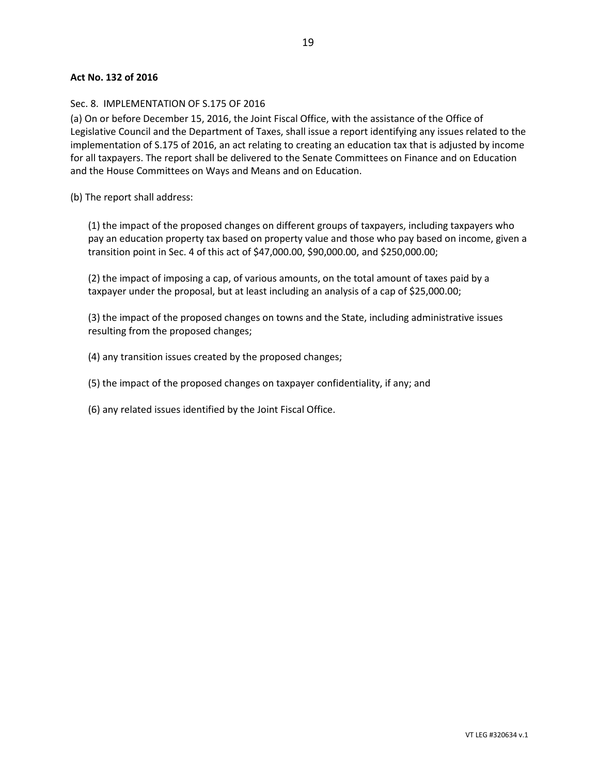#### **Act No. 132 of 2016**

#### Sec. 8. IMPLEMENTATION OF S.175 OF 2016

(a) On or before December 15, 2016, the Joint Fiscal Office, with the assistance of the Office of Legislative Council and the Department of Taxes, shall issue a report identifying any issues related to the implementation of S.175 of 2016, an act relating to creating an education tax that is adjusted by income for all taxpayers. The report shall be delivered to the Senate Committees on Finance and on Education and the House Committees on Ways and Means and on Education.

(b) The report shall address:

(1) the impact of the proposed changes on different groups of taxpayers, including taxpayers who pay an education property tax based on property value and those who pay based on income, given a transition point in Sec. 4 of this act of \$47,000.00, \$90,000.00, and \$250,000.00;

(2) the impact of imposing a cap, of various amounts, on the total amount of taxes paid by a taxpayer under the proposal, but at least including an analysis of a cap of \$25,000.00;

(3) the impact of the proposed changes on towns and the State, including administrative issues resulting from the proposed changes;

(4) any transition issues created by the proposed changes;

(5) the impact of the proposed changes on taxpayer confidentiality, if any; and

(6) any related issues identified by the Joint Fiscal Office.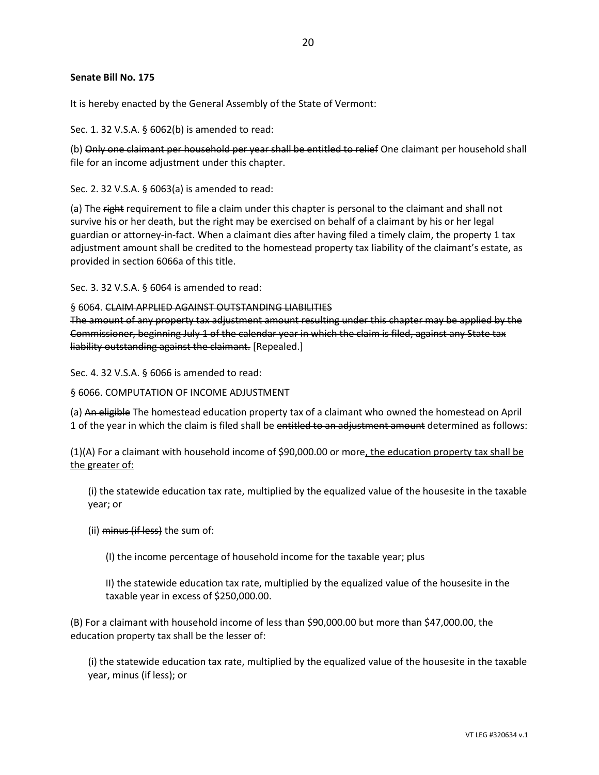#### **Senate Bill No. 175**

It is hereby enacted by the General Assembly of the State of Vermont:

Sec. 1. 32 V.S.A. § 6062(b) is amended to read:

(b) Only one claimant per household per year shall be entitled to relief One claimant per household shall file for an income adjustment under this chapter.

Sec. 2. 32 V.S.A. § 6063(a) is amended to read:

(a) The right requirement to file a claim under this chapter is personal to the claimant and shall not survive his or her death, but the right may be exercised on behalf of a claimant by his or her legal guardian or attorney-in-fact. When a claimant dies after having filed a timely claim, the property 1 tax adjustment amount shall be credited to the homestead property tax liability of the claimant's estate, as provided in section 6066a of this title.

Sec. 3. 32 V.S.A. § 6064 is amended to read:

§ 6064. CLAIM APPLIED AGAINST OUTSTANDING LIABILITIES

The amount of any property tax adjustment amount resulting under this chapter may be applied by the Commissioner, beginning July 1 of the calendar year in which the claim is filed, against any State tax liability outstanding against the claimant. [Repealed.]

Sec. 4. 32 V.S.A. § 6066 is amended to read:

§ 6066. COMPUTATION OF INCOME ADJUSTMENT

(a) An eligible The homestead education property tax of a claimant who owned the homestead on April 1 of the year in which the claim is filed shall be entitled to an adjustment amount determined as follows:

(1)(A) For a claimant with household income of \$90,000.00 or more, the education property tax shall be the greater of:

(i) the statewide education tax rate, multiplied by the equalized value of the housesite in the taxable year; or

(ii) minus (if less) the sum of:

(I) the income percentage of household income for the taxable year; plus

II) the statewide education tax rate, multiplied by the equalized value of the housesite in the taxable year in excess of \$250,000.00.

(B) For a claimant with household income of less than \$90,000.00 but more than \$47,000.00, the education property tax shall be the lesser of:

(i) the statewide education tax rate, multiplied by the equalized value of the housesite in the taxable year, minus (if less); or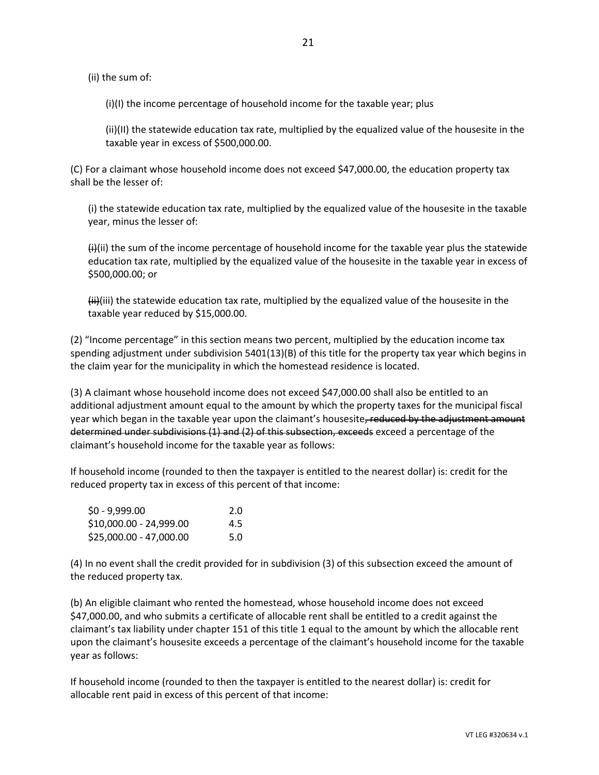(ii) the sum of:

(i)(I) the income percentage of household income for the taxable year; plus

(ii)(II) the statewide education tax rate, multiplied by the equalized value of the housesite in the taxable year in excess of \$500,000.00.

(C) For a claimant whose household income does not exceed \$47,000.00, the education property tax shall be the lesser of:

(i) the statewide education tax rate, multiplied by the equalized value of the housesite in the taxable year, minus the lesser of:

 $(H)(ii)$  the sum of the income percentage of household income for the taxable year plus the statewide education tax rate, multiplied by the equalized value of the housesite in the taxable year in excess of \$500,000.00; or

 $\left\langle \mathbf{ii}\right\rangle$ (iii) the statewide education tax rate, multiplied by the equalized value of the housesite in the taxable year reduced by \$15,000.00.

(2) "Income percentage" in this section means two percent, multiplied by the education income tax spending adjustment under subdivision 5401(13)(B) of this title for the property tax year which begins in the claim year for the municipality in which the homestead residence is located.

(3) A claimant whose household income does not exceed \$47,000.00 shall also be entitled to an additional adjustment amount equal to the amount by which the property taxes for the municipal fiscal year which began in the taxable year upon the claimant's housesite, reduced by the adjustment amount determined under subdivisions (1) and (2) of this subsection, exceeds exceed a percentage of the claimant's household income for the taxable year as follows:

If household income (rounded to then the taxpayer is entitled to the nearest dollar) is: credit for the reduced property tax in excess of this percent of that income:

| \$0 - 9,999.00          | 2.0 |
|-------------------------|-----|
| \$10,000.00 - 24,999.00 | 4.5 |
| \$25,000.00 - 47,000.00 | 5.0 |

(4) In no event shall the credit provided for in subdivision (3) of this subsection exceed the amount of the reduced property tax.

(b) An eligible claimant who rented the homestead, whose household income does not exceed \$47,000.00, and who submits a certificate of allocable rent shall be entitled to a credit against the claimant's tax liability under chapter 151 of this title 1 equal to the amount by which the allocable rent upon the claimant's housesite exceeds a percentage of the claimant's household income for the taxable year as follows:

If household income (rounded to then the taxpayer is entitled to the nearest dollar) is: credit for allocable rent paid in excess of this percent of that income: